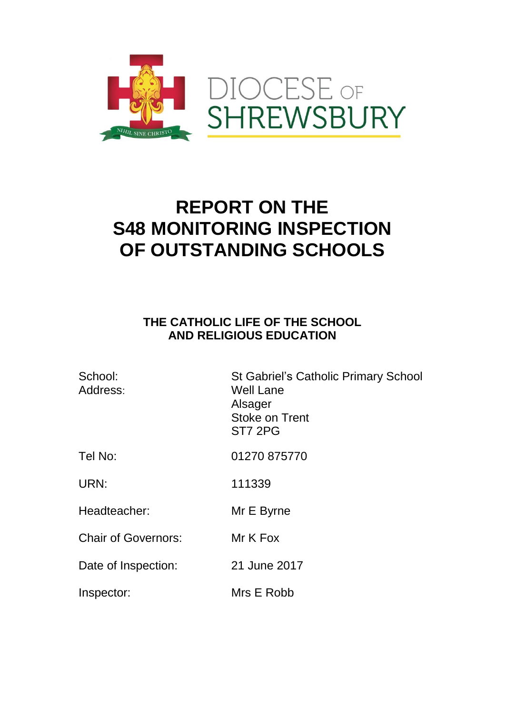

## **REPORT ON THE S48 MONITORING INSPECTION OF OUTSTANDING SCHOOLS**

## **THE CATHOLIC LIFE OF THE SCHOOL AND RELIGIOUS EDUCATION**

| School:<br>Address:        | <b>St Gabriel's Catholic Primary School</b><br><b>Well Lane</b><br>Alsager<br>Stoke on Trent<br>ST7 2PG |
|----------------------------|---------------------------------------------------------------------------------------------------------|
| Tel No:                    | 01270 875770                                                                                            |
| URN:                       | 111339                                                                                                  |
| Headteacher:               | Mr E Byrne                                                                                              |
| <b>Chair of Governors:</b> | Mr K Fox                                                                                                |
| Date of Inspection:        | 21 June 2017                                                                                            |
| Inspector:                 | Mrs E Robb                                                                                              |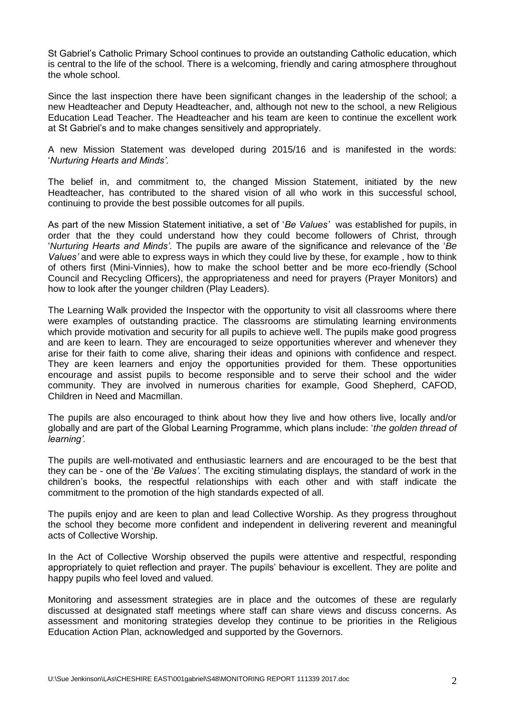St Gabriel's Catholic Primary School continues to provide an outstanding Catholic education, which is central to the life of the school. There is a welcoming, friendly and caring atmosphere throughout the whole school.

Since the last inspection there have been significant changes in the leadership of the school; a new Headteacher and Deputy Headteacher, and, although not new to the school, a new Religious Education Lead Teacher. The Headteacher and his team are keen to continue the excellent work at St Gabriel's and to make changes sensitively and appropriately.

A new Mission Statement was developed during 2015/16 and is manifested in the words: '*Nurturing Hearts and Minds'.*

The belief in, and commitment to, the changed Mission Statement, initiated by the new Headteacher, has contributed to the shared vision of all who work in this successful school, continuing to provide the best possible outcomes for all pupils.

As part of the new Mission Statement initiative, a set of '*Be Values'* was established for pupils, in order that the they could understand how they could become followers of Christ, through '*Nurturing Hearts and Minds'.* The pupils are aware of the significance and relevance of the '*Be Values'* and were able to express ways in which they could live by these, for example , how to think of others first (Mini-Vinnies), how to make the school better and be more eco-friendly (School Council and Recycling Officers), the appropriateness and need for prayers (Prayer Monitors) and how to look after the younger children (Play Leaders).

The Learning Walk provided the Inspector with the opportunity to visit all classrooms where there were examples of outstanding practice. The classrooms are stimulating learning environments which provide motivation and security for all pupils to achieve well. The pupils make good progress and are keen to learn. They are encouraged to seize opportunities wherever and whenever they arise for their faith to come alive, sharing their ideas and opinions with confidence and respect. They are keen learners and enjoy the opportunities provided for them. These opportunities encourage and assist pupils to become responsible and to serve their school and the wider community. They are involved in numerous charities for example, Good Shepherd, CAFOD, Children in Need and Macmillan.

The pupils are also encouraged to think about how they live and how others live, locally and/or globally and are part of the Global Learning Programme, which plans include: '*the golden thread of learning'.*

The pupils are well-motivated and enthusiastic learners and are encouraged to be the best that they can be - one of the '*Be Values'.* The exciting stimulating displays, the standard of work in the children's books, the respectful relationships with each other and with staff indicate the commitment to the promotion of the high standards expected of all.

The pupils enjoy and are keen to plan and lead Collective Worship. As they progress throughout the school they become more confident and independent in delivering reverent and meaningful acts of Collective Worship.

In the Act of Collective Worship observed the pupils were attentive and respectful, responding appropriately to quiet reflection and prayer. The pupils' behaviour is excellent. They are polite and happy pupils who feel loved and valued.

Monitoring and assessment strategies are in place and the outcomes of these are regularly discussed at designated staff meetings where staff can share views and discuss concerns. As assessment and monitoring strategies develop they continue to be priorities in the Religious Education Action Plan, acknowledged and supported by the Governors.